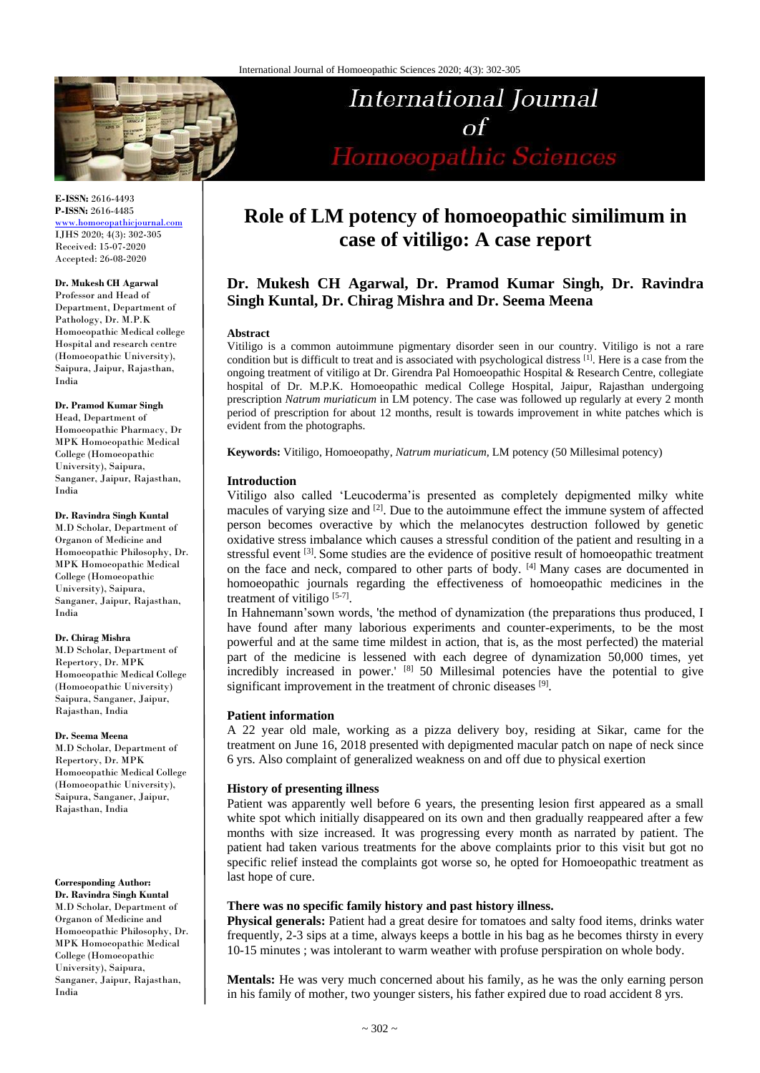

**E-ISSN:** 2616-4493 **P-ISSN:** 2616-4485 [www.homoeopathicjournal.com](file://Server/test/homoeopathicjournal/issue/vol%204/issue%201/www.homoeopathicjournal.com)

IJHS 2020; 4(3): 302-305 Received: 15-07-2020 Accepted: 26-08-2020

**Dr. Mukesh CH Agarwal**

Professor and Head of Department, Department of Pathology, Dr. M.P.K Homoeopathic Medical college Hospital and research centre (Homoeopathic University), Saipura, Jaipur, Rajasthan, India

**Dr. Pramod Kumar Singh**

Head, Department of Homoeopathic Pharmacy, Dr MPK Homoeopathic Medical College (Homoeopathic University), Saipura, Sanganer, Jaipur, Rajasthan, India

#### **Dr. Ravindra Singh Kuntal**

M.D Scholar, Department of Organon of Medicine and Homoeopathic Philosophy, Dr. MPK Homoeopathic Medical College (Homoeopathic University), Saipura, Sanganer, Jaipur, Rajasthan, India

#### **Dr. Chirag Mishra**

M.D Scholar, Department of Repertory, Dr. MPK Homoeopathic Medical College (Homoeopathic University) Saipura, Sanganer, Jaipur, Rajasthan, India

#### **Dr. Seema Meena**

M.D Scholar, Department of Repertory, Dr. MPK Homoeopathic Medical College (Homoeopathic University), Saipura, Sanganer, Jaipur, Rajasthan, India

## **Corresponding Author:**

**Dr. Ravindra Singh Kuntal** M.D Scholar, Department of Organon of Medicine and Homoeopathic Philosophy, Dr. MPK Homoeopathic Medical College (Homoeopathic University), Saipura, Sanganer, Jaipur, Rajasthan, India

# **Role of LM potency of homoeopathic similimum in case of vitiligo: A case report**

International Journal

Homoeopathic Sciences

## **Dr. Mukesh CH Agarwal, Dr. Pramod Kumar Singh, Dr. Ravindra Singh Kuntal, Dr. Chirag Mishra and Dr. Seema Meena**

#### **Abstract**

Vitiligo is a common autoimmune pigmentary disorder seen in our country. Vitiligo is not a rare condition but is difficult to treat and is associated with psychological distress <sup>[1]</sup>. Here is a case from the ongoing treatment of vitiligo at Dr. Girendra Pal Homoeopathic Hospital & Research Centre, collegiate hospital of Dr. M.P.K. Homoeopathic medical College Hospital, Jaipur, Rajasthan undergoing prescription *Natrum muriaticum* in LM potency. The case was followed up regularly at every 2 month period of prescription for about 12 months, result is towards improvement in white patches which is evident from the photographs.

**Keywords:** Vitiligo, Homoeopathy, *Natrum muriaticum,* LM potency (50 Millesimal potency)

## **Introduction**

Vitiligo also called 'Leucoderma'is presented as completely depigmented milky white macules of varying size and  $[2]$ . Due to the autoimmune effect the immune system of affected person becomes overactive by which the melanocytes destruction followed by genetic oxidative stress imbalance which causes a stressful condition of the patient and resulting in a stressful event <sup>[3]</sup>. Some studies are the evidence of positive result of homoeopathic treatment on the face and neck, compared to other parts of body. [4] Many cases are documented in homoeopathic journals regarding the effectiveness of homoeopathic medicines in the treatment of vitiligo  $[5-7]$ .

In Hahnemann'sown words, 'the method of dynamization (the preparations thus produced, I have found after many laborious experiments and counter-experiments, to be the most powerful and at the same time mildest in action, that is, as the most perfected) the material part of the medicine is lessened with each degree of dynamization 50,000 times, yet incredibly increased in power.' [8] 50 Millesimal potencies have the potential to give significant improvement in the treatment of chronic diseases [9].

## **Patient information**

A 22 year old male, working as a pizza delivery boy, residing at Sikar, came for the treatment on June 16, 2018 presented with depigmented macular patch on nape of neck since 6 yrs. Also complaint of generalized weakness on and off due to physical exertion

## **History of presenting illness**

Patient was apparently well before 6 years, the presenting lesion first appeared as a small white spot which initially disappeared on its own and then gradually reappeared after a few months with size increased. It was progressing every month as narrated by patient. The patient had taken various treatments for the above complaints prior to this visit but got no specific relief instead the complaints got worse so, he opted for Homoeopathic treatment as last hope of cure.

## **There was no specific family history and past history illness.**

**Physical generals:** Patient had a great desire for tomatoes and salty food items, drinks water frequently, 2-3 sips at a time, always keeps a bottle in his bag as he becomes thirsty in every 10-15 minutes ; was intolerant to warm weather with profuse perspiration on whole body.

**Mentals:** He was very much concerned about his family, as he was the only earning person in his family of mother, two younger sisters, his father expired due to road accident 8 yrs.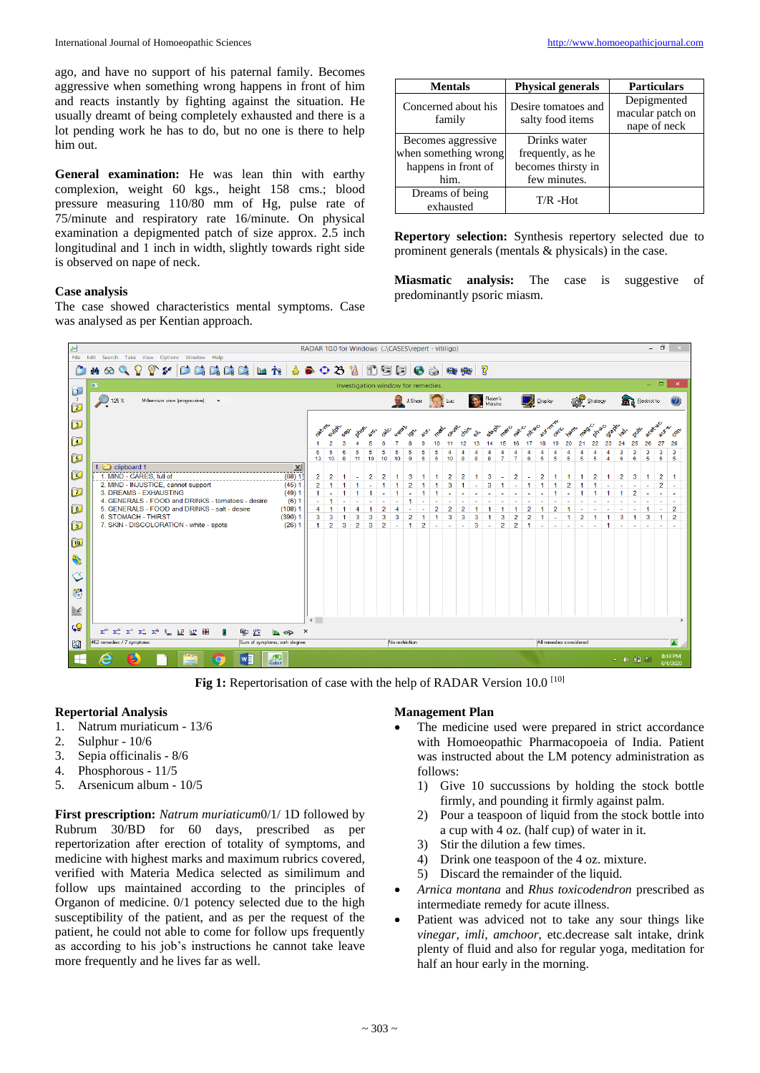ago, and have no support of his paternal family. Becomes aggressive when something wrong happens in front of him and reacts instantly by fighting against the situation. He usually dreamt of being completely exhausted and there is a lot pending work he has to do, but no one is there to help him out.

**General examination:** He was lean thin with earthy complexion, weight 60 kgs., height 158 cms.; blood pressure measuring 110/80 mm of Hg, pulse rate of 75/minute and respiratory rate 16/minute. On physical examination a depigmented patch of size approx. 2.5 inch longitudinal and 1 inch in width, slightly towards right side is observed on nape of neck.

## **Case analysis**

The case showed characteristics mental symptoms. Case was analysed as per Kentian approach.

| <b>Mentals</b>                | <b>Physical generals</b>                | <b>Particulars</b>                              |
|-------------------------------|-----------------------------------------|-------------------------------------------------|
| Concerned about his<br>family | Desire tomatoes and<br>salty food items | Depigmented<br>macular patch on<br>nape of neck |
| Becomes aggressive            | Drinks water                            |                                                 |
| when something wrong          | frequently, as he                       |                                                 |
| happens in front of           | becomes thirsty in                      |                                                 |
| him.                          | few minutes.                            |                                                 |
| Dreams of being<br>exhausted  | $T/R - Hot$                             |                                                 |

**Repertory selection:** Synthesis repertory selected due to prominent generals (mentals & physicals) in the case.

**Miasmatic analysis:** The case is suggestive of predominantly psoric miasm.



Fig 1: Repertorisation of case with the help of RADAR Version 10.0<sup>[10]</sup>

## **Repertorial Analysis**

- 1. Natrum muriaticum 13/6
- 2. Sulphur 10/6
- 3. Sepia officinalis 8/6
- 4. Phosphorous 11/5
- 5. Arsenicum album 10/5

**First prescription:** *Natrum muriaticum*0/1/ 1D followed by Rubrum 30/BD for 60 days, prescribed as per repertorization after erection of totality of symptoms, and medicine with highest marks and maximum rubrics covered, verified with Materia Medica selected as similimum and follow ups maintained according to the principles of Organon of medicine. 0/1 potency selected due to the high susceptibility of the patient, and as per the request of the patient, he could not able to come for follow ups frequently as according to his job's instructions he cannot take leave more frequently and he lives far as well.

#### **Management Plan**

- The medicine used were prepared in strict accordance with Homoeopathic Pharmacopoeia of India. Patient was instructed about the LM potency administration as follows:
	- 1) Give 10 succussions by holding the stock bottle firmly, and pounding it firmly against palm.
	- 2) Pour a teaspoon of liquid from the stock bottle into a cup with 4 oz. (half cup) of water in it.
	- 3) Stir the dilution a few times.
	- 4) Drink one teaspoon of the 4 oz. mixture.
	- 5) Discard the remainder of the liquid.
- *Arnica montana* and *Rhus toxicodendron* prescribed as intermediate remedy for acute illness.
- Patient was adviced not to take any sour things like *vinegar, imli, amchoor*, etc.decrease salt intake, drink plenty of fluid and also for regular yoga, meditation for half an hour early in the morning.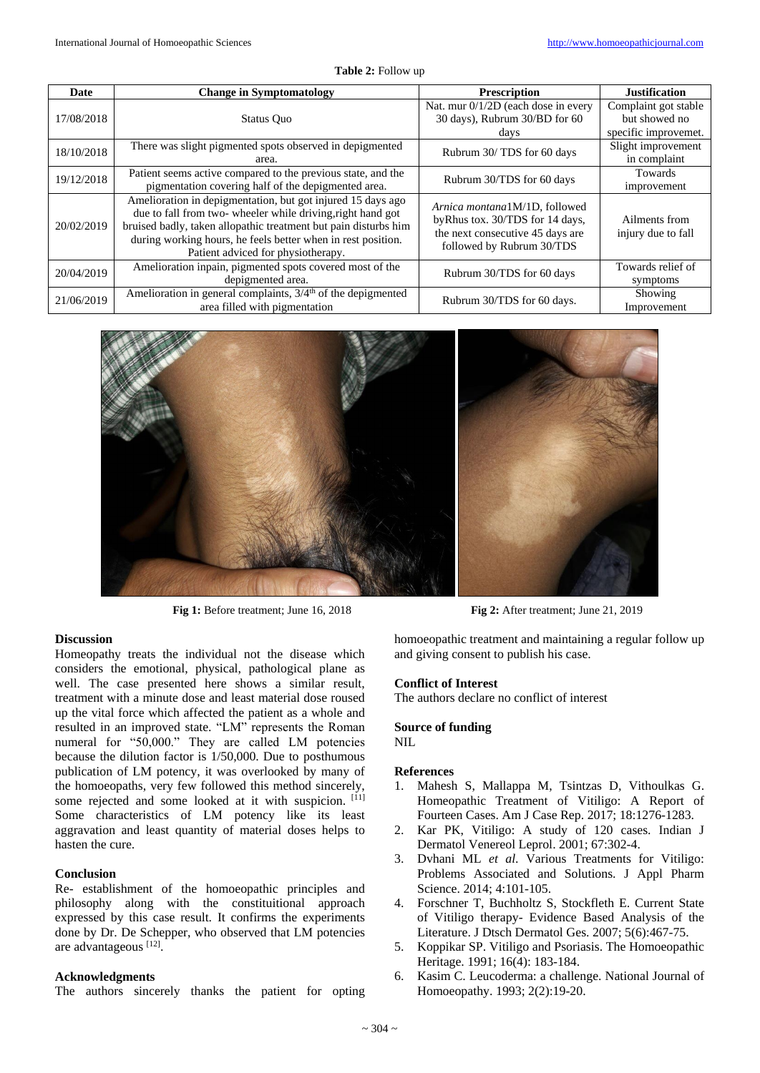|  |  | <b>Table 2:</b> Follow up |  |
|--|--|---------------------------|--|
|--|--|---------------------------|--|

| Date       | <b>Change in Symptomatology</b>                                                                                                                                                                                                                                                                     | <b>Prescription</b>                                                                                                               | <b>Justification</b>                                          |
|------------|-----------------------------------------------------------------------------------------------------------------------------------------------------------------------------------------------------------------------------------------------------------------------------------------------------|-----------------------------------------------------------------------------------------------------------------------------------|---------------------------------------------------------------|
| 17/08/2018 | Status Ouo                                                                                                                                                                                                                                                                                          | Nat. mur 0/1/2D (each dose in every<br>30 days), Rubrum 30/BD for 60<br>days                                                      | Complaint got stable<br>but showed no<br>specific improvemet. |
| 18/10/2018 | There was slight pigmented spots observed in depigmented<br>area.                                                                                                                                                                                                                                   | Rubrum 30/TDS for 60 days                                                                                                         | Slight improvement<br>in complaint                            |
| 19/12/2018 | Patient seems active compared to the previous state, and the<br>pigmentation covering half of the depigmented area.                                                                                                                                                                                 | Rubrum 30/TDS for 60 days                                                                                                         | <b>Towards</b><br>improvement                                 |
| 20/02/2019 | Amelioration in depigmentation, but got injured 15 days ago<br>due to fall from two- wheeler while driving, right hand got<br>bruised badly, taken allopathic treatment but pain disturbs him<br>during working hours, he feels better when in rest position.<br>Patient adviced for physiotherapy. | Arnica montana1M/1D, followed<br>byRhus tox. 30/TDS for 14 days,<br>the next consecutive 45 days are<br>followed by Rubrum 30/TDS | Ailments from<br>injury due to fall                           |
| 20/04/2019 | Amelioration inpain, pigmented spots covered most of the<br>depigmented area.                                                                                                                                                                                                                       | Rubrum 30/TDS for 60 days                                                                                                         | Towards relief of<br>symptoms                                 |
| 21/06/2019 | Amelioration in general complaints, $3/4th$ of the depigmented<br>area filled with pigmentation                                                                                                                                                                                                     | Rubrum 30/TDS for 60 days.                                                                                                        | Showing<br>Improvement                                        |



**Fig 1:** Before treatment; June 16, 2018 **Fig 2:** After treatment; June 21, 2019

#### **Discussion**

Homeopathy treats the individual not the disease which considers the emotional, physical, pathological plane as well. The case presented here shows a similar result, treatment with a minute dose and least material dose roused up the vital force which affected the patient as a whole and resulted in an improved state. "LM" represents the Roman numeral for "50,000." They are called LM potencies because the dilution factor is 1/50,000. Due to posthumous publication of LM potency, it was overlooked by many of the homoeopaths, very few followed this method sincerely, some rejected and some looked at it with suspicion. [11] Some characteristics of LM potency like its least aggravation and least quantity of material doses helps to hasten the cure.

## **Conclusion**

Re- establishment of the homoeopathic principles and philosophy along with the constituitional approach expressed by this case result. It confirms the experiments done by Dr. De Schepper, who observed that LM potencies are advantageous [12].

#### **Acknowledgments**

The authors sincerely thanks the patient for opting

homoeopathic treatment and maintaining a regular follow up and giving consent to publish his case.

#### **Conflict of Interest**

The authors declare no conflict of interest

#### **Source of funding** NIL

#### **References**

- 1. Mahesh S, Mallappa M, Tsintzas D, Vithoulkas G. Homeopathic Treatment of Vitiligo: A Report of Fourteen Cases. Am J Case Rep. 2017; 18:1276-1283.
- 2. Kar PK, Vitiligo: A study of 120 cases. Indian J Dermatol Venereol Leprol. 2001; 67:302-4.
- 3. Dvhani ML *et al*. Various Treatments for Vitiligo: Problems Associated and Solutions. J Appl Pharm Science. 2014; 4:101-105.
- 4. Forschner T, Buchholtz S, Stockfleth E. Current State of Vitiligo therapy- Evidence Based Analysis of the Literature. J Dtsch Dermatol Ges. 2007; 5(6):467-75.
- 5. Koppikar SP. Vitiligo and Psoriasis. The Homoeopathic Heritage. 1991; 16(4): 183-184.
- 6. Kasim C. Leucoderma: a challenge. National Journal of Homoeopathy. 1993; 2(2):19-20.